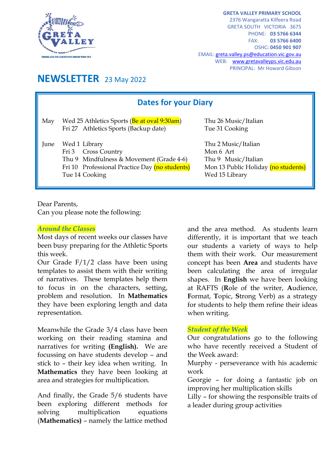

**GRETA VALLEY PRIMARY SCHOOL** 2376 Wangaratta Kilfeera Road GRETA SOUTH VICTORIA 3675 PHONE: **03 5766 6344** FAX: **03 5766 6400** OSHC**: 0450 901 907** EMAIL[: greta.valley.ps@education.vic.gov.au](mailto:greta.valley.ps@education.vic.gov.au) WEB: [www.gretavalleyps.vic.edu.au](http://www.gretavalleyps.vic.edu.au/) PRINCIPAL: Mr Howard Gibson

# **NEWSLETTER** 23 May 2022

| <b>Dates for your Diary</b> |                                                                                                                                                      |                                                                                                                  |
|-----------------------------|------------------------------------------------------------------------------------------------------------------------------------------------------|------------------------------------------------------------------------------------------------------------------|
| May                         | Wed 25 Athletics Sports (Be at oval 9:30am)<br>Fri 27 Athletics Sports (Backup date)                                                                 | Thu 26 Music/Italian<br>Tue 31 Cooking                                                                           |
| June                        | Wed 1 Library<br>Fri 3 Cross Country<br>Thu 9 Mindfulness & Movement (Grade 4-6)<br>Fri 10 Professional Practice Day (no students)<br>Tue 14 Cooking | Thu 2 Music/Italian<br>Mon 6 Art<br>Thu 9 Music/Italian<br>Mon 13 Public Holiday (no students)<br>Wed 15 Library |

Dear Parents,

Can you please note the following:

#### *Around the Classes*

Most days of recent weeks our classes have been busy preparing for the Athletic Sports this week.

Our Grade F/1/2 class have been using templates to assist them with their writing of narratives. These templates help them to focus in on the characters, setting, problem and resolution. In **Mathematics** they have been exploring length and data representation.

Meanwhile the Grade 3/4 class have been working on their reading stamina and narratives for writing **(English).** We are focussing on have students develop – and stick to – their key idea when writing. In **Mathematics** they have been looking at area and strategies for multiplication.

And finally, the Grade 5/6 students have been exploring different methods for solving multiplication equations (**Mathematics)** – namely the lattice method and the area method. As students learn differently, it is important that we teach our students a variety of ways to help them with their work. Our measurement concept has been **Area** and students have been calculating the area of irregular shapes. In **English** we have been looking at RAFTS (**R**ole of the writer, **A**udience, **F**ormat, **T**opic, **S**trong Verb) as a strategy for students to help them refine their ideas when writing.

#### *Student of the Week*

Our congratulations go to the following who have recently received a Student of the Week award:

Murphy - perseverance with his academic work

Georgie – for doing a fantastic job on improving her multiplication skills

Lilly – for showing the responsible traits of a leader during group activities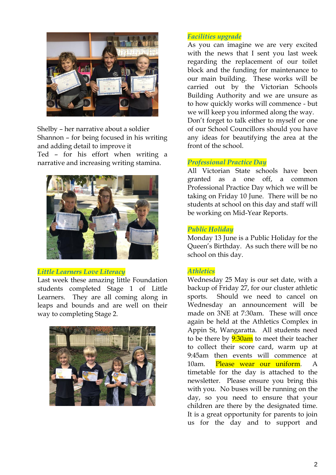

Shelby – her narrative about a soldier Shannon – for being focused in his writing and adding detail to improve it Ted – for his effort when writing a narrative and increasing writing stamina.



## *Little Learners Love Literacy*

Last week these amazing little Foundation students completed Stage 1 of Little Learners. They are all coming along in leaps and bounds and are well on their way to completing Stage 2.



# *Facilities upgrade*

As you can imagine we are very excited with the news that I sent you last week regarding the replacement of our toilet block and the funding for maintenance to our main building. These works will be carried out by the Victorian Schools Building Authority and we are unsure as to how quickly works will commence - but we will keep you informed along the way. Don't forget to talk either to myself or one of our School Councillors should you have any ideas for beautifying the area at the front of the school.

## *Professional Practice Day*

All Victorian State schools have been granted as a one off, a common Professional Practice Day which we will be taking on Friday 10 June. There will be no students at school on this day and staff will be working on Mid-Year Reports.

## *Public Holiday*

Monday 13 June is a Public Holiday for the Queen's Birthday. As such there will be no school on this day.

# *Athletics*

Wednesday 25 May is our set date, with a backup of Friday 27, for our cluster athletic sports. Should we need to cancel on Wednesday an announcement will be made on 3NE at 7:30am. These will once again be held at the Athletics Complex in Appin St, Wangaratta. All students need to be there by  $9:30$ am to meet their teacher to collect their score card, warm up at 9:45am then events will commence at 10am. Please wear our uniform. A timetable for the day is attached to the newsletter. Please ensure you bring this with you. No buses will be running on the day, so you need to ensure that your children are there by the designated time. It is a great opportunity for parents to join us for the day and to support and